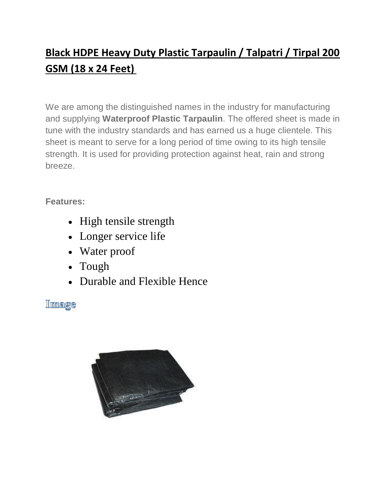# **Black HDPE Heavy Duty Plastic Tarpaulin / Talpatri / Tirpal 200 GSM (18 x 24 Feet)**

We are among the distinguished names in the industry for manufacturing and supplying **Waterproof Plastic Tarpaulin**. The offered sheet is made in tune with the industry standards and has earned us a huge clientele. This sheet is meant to serve for a long period of time owing to its high tensile strength. It is used for providing protection against heat, rain and strong breeze.

#### **Features:**

- High tensile strength
- Longer service life
- Water proof
- Tough
- Durable and Flexible Hence

Image

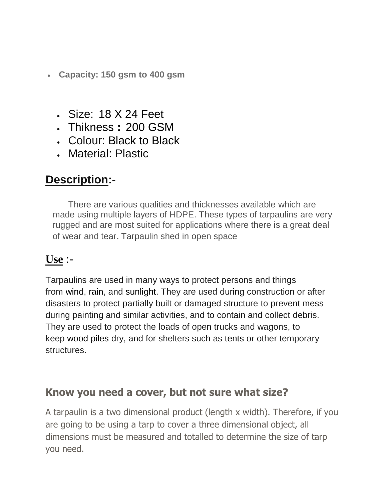- **Capacity: 150 gsm to 400 gsm**
	- Size: 18 X 24 Feet
	- Thikness **:** 200 GSM
	- Colour: Black to Black
	- Material: Plastic

## **Description:-**

There are various qualities and thicknesses available which are made using multiple layers of HDPE. These types of tarpaulins are very rugged and are most suited for applications where there is a great deal of wear and tear. Tarpaulin shed in open space

### **Use** :-

Tarpaulins are used in many ways to protect persons and things from wind, rain, and sunlight. They are used during construction or after disasters to protect partially built or damaged structure to prevent mess during painting and similar activities, and to contain and collect debris. They are used to protect the loads of open trucks and wagons, to keep wood piles dry, and for shelters such as tents or other temporary structures.

#### **Know you need a cover, but not sure what size?**

A tarpaulin is a two dimensional product (length x width). Therefore, if you are going to be using a tarp to cover a three dimensional object, all dimensions must be measured and totalled to determine the size of tarp you need.